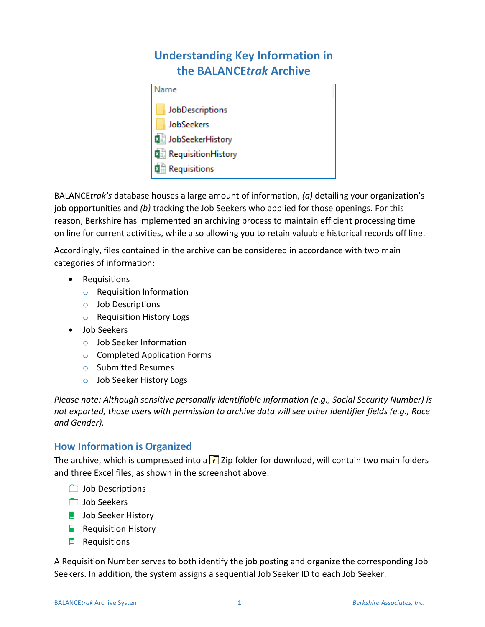# **Understanding Key Information in the BALANCE***trak* **Archive**

| Name                 |  |
|----------------------|--|
| JobDescriptions      |  |
| JobSeekers           |  |
| 지금 JobSeekerHistory  |  |
| 圖 RequisitionHistory |  |
| 图前 Requisitions      |  |

BALANCE*trak's* database houses a large amount of information, *(a)* detailing your organization's job opportunities and *(b)* tracking the Job Seekers who applied for those openings. For this reason, Berkshire has implemented an archiving process to maintain efficient processing time on line for current activities, while also allowing you to retain valuable historical records off line.

Accordingly, files contained in the archive can be considered in accordance with two main categories of information:

- Requisitions
	- o Requisition Information
	- o Job Descriptions
	- o Requisition History Logs
- Job Seekers
	- o Job Seeker Information
	- o Completed Application Forms
	- o Submitted Resumes
	- o Job Seeker History Logs

*Please note: Although sensitive personally identifiable information (e.g., Social Security Number) is not exported, those users with permission to archive data will see other identifier fields (e.g., Race and Gender).* 

# **How Information is Organized**

The archive, which is compressed into a  $\Box$  Zip folder for download, will contain two main folders and three Excel files, as shown in the screenshot above:

- **Job Descriptions**
- **Job Seekers**
- **Job Seeker History**
- $\Box$  Requisition History
- **B** Requisitions

A Requisition Number serves to both identify the job posting and organize the corresponding Job Seekers. In addition, the system assigns a sequential Job Seeker ID to each Job Seeker.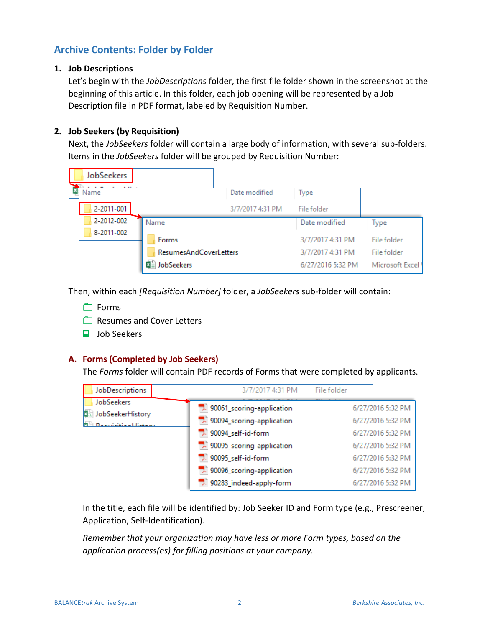## **Archive Contents: Folder by Folder**

#### **1. Job Descriptions**

Let's begin with the *JobDescriptions* folder, the first file folder shown in the screenshot at the beginning of this article. In this folder, each job opening will be represented by a Job Description file in PDF format, labeled by Requisition Number.

#### **2. Job Seekers (by Requisition)**

Next, the *JobSeekers* folder will contain a large body of information, with several sub-folders. Items in the *JobSeekers* folder will be grouped by Requisition Number:

| JobSeekers |                                                            |                  |                                                           |                                               |
|------------|------------------------------------------------------------|------------------|-----------------------------------------------------------|-----------------------------------------------|
| Name       |                                                            | Date modified    | Type                                                      |                                               |
| 2-2011-001 |                                                            | 3/7/2017 4:31 PM | File folder                                               |                                               |
| 2-2012-002 | Name                                                       |                  | Date modified                                             | Type                                          |
| 8-2011-002 | Forms<br><b>ResumesAndCoverLetters</b><br>JobSeekers<br>×車 |                  | 3/7/2017 4:31 PM<br>3/7/2017 4:31 PM<br>6/27/2016 5:32 PM | File folder<br>File folder<br>Microsoft Excel |

Then, within each *[Requisition Number]* folder, a *JobSeekers* sub-folder will contain:

- Forms
- Resumes and Cover Letters
- Job Seekers

#### **A. Forms (Completed by Job Seekers)**

The *Forms* folder will contain PDF records of Forms that were completed by applicants.

| JobDescriptions                                                 | 3/7/2017 4:31 PM                                   | File folder |                                        |
|-----------------------------------------------------------------|----------------------------------------------------|-------------|----------------------------------------|
| JobSeekers                                                      | 30061_scoring-application                          |             | 6/27/2016 5:32 PM                      |
| JobSeekerHistory<br><b>x</b><br><b>RequiritionHistory</b><br>南上 | 30094_scoring-application                          |             | 6/27/2016 5:32 PM                      |
|                                                                 | 90094_self-id-form                                 |             | 6/27/2016 5:32 PM                      |
|                                                                 | 3. 90095_scoring-application                       |             | 6/27/2016 5:32 PM                      |
|                                                                 | 90095_self-id-form<br>1. 90096_scoring-application |             | 6/27/2016 5:32 PM<br>6/27/2016 5:32 PM |
|                                                                 | 90283_indeed-apply-form                            |             | 6/27/2016 5:32 PM                      |

In the title, each file will be identified by: Job Seeker ID and Form type (e.g., Prescreener, Application, Self-Identification).

*Remember that your organization may have less or more Form types, based on the application process(es) for filling positions at your company.*